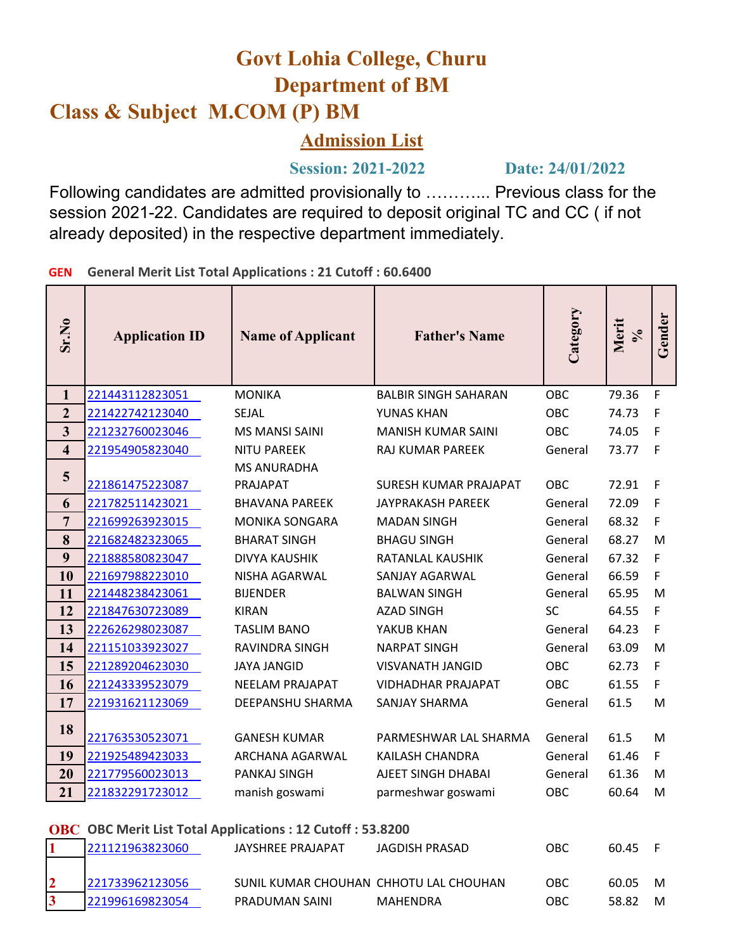# **Govt Lohia College, Churu Department of BM Class & Subject M.COM (P) BM**

## **Admission List**

 **Session: 2021-2022 Date: 24/01/2022**

Following candidates are admitted provisionally to ………... Previous class for the session 2021-22. Candidates are required to deposit original TC and CC ( if not already deposited) in the respective department immediately.

**GEN General Merit List Total Applications : 21 Cutoff : 60.6400**

| Sr.No                   | <b>Application ID</b>                                            | <b>Name of Applicant</b> | <b>Father's Name</b>        | Category   | Merit<br>$\sqrt{6}$ | Gender       |
|-------------------------|------------------------------------------------------------------|--------------------------|-----------------------------|------------|---------------------|--------------|
| $\mathbf{1}$            | 221443112823051                                                  | <b>MONIKA</b>            | <b>BALBIR SINGH SAHARAN</b> | OBC        | 79.36               | F            |
| $\overline{2}$          | 221422742123040                                                  | <b>SEJAL</b>             | YUNAS KHAN                  | OBC        | 74.73               | $\mathsf{F}$ |
| $\overline{\mathbf{3}}$ | 221232760023046                                                  | <b>MS MANSI SAINI</b>    | <b>MANISH KUMAR SAINI</b>   | <b>OBC</b> | 74.05               | F            |
| $\overline{\mathbf{4}}$ | 221954905823040                                                  | <b>NITU PAREEK</b>       | RAJ KUMAR PAREEK            | General    | 73.77               | $\mathsf{F}$ |
| 5                       |                                                                  | <b>MS ANURADHA</b>       |                             |            |                     |              |
|                         | 221861475223087                                                  | PRAJAPAT                 | SURESH KUMAR PRAJAPAT       | <b>OBC</b> | 72.91               | $\mathsf{F}$ |
| 6                       | 221782511423021                                                  | <b>BHAVANA PAREEK</b>    | <b>JAYPRAKASH PAREEK</b>    | General    | 72.09               | F            |
| $\overline{7}$          | 221699263923015                                                  | <b>MONIKA SONGARA</b>    | <b>MADAN SINGH</b>          | General    | 68.32               | F            |
| 8                       | 221682482323065                                                  | <b>BHARAT SINGH</b>      | <b>BHAGU SINGH</b>          | General    | 68.27               | M            |
| 9                       | 221888580823047                                                  | <b>DIVYA KAUSHIK</b>     | RATANLAL KAUSHIK            | General    | 67.32               | F            |
| 10                      | 221697988223010                                                  | NISHA AGARWAL            | SANJAY AGARWAL              | General    | 66.59               | F            |
| 11                      | 221448238423061                                                  | <b>BIJENDER</b>          | <b>BALWAN SINGH</b>         | General    | 65.95               | M            |
| 12                      | 221847630723089                                                  | <b>KIRAN</b>             | <b>AZAD SINGH</b>           | <b>SC</b>  | 64.55               | $\mathsf F$  |
| 13                      | 222626298023087                                                  | <b>TASLIM BANO</b>       | YAKUB KHAN                  | General    | 64.23               | F            |
| 14                      | 221151033923027                                                  | <b>RAVINDRA SINGH</b>    | <b>NARPAT SINGH</b>         | General    | 63.09               | M            |
| 15                      | 221289204623030                                                  | <b>JAYA JANGID</b>       | <b>VISVANATH JANGID</b>     | OBC        | 62.73               | F            |
| 16                      | 221243339523079                                                  | <b>NEELAM PRAJAPAT</b>   | <b>VIDHADHAR PRAJAPAT</b>   | OBC        | 61.55               | F            |
| 17                      | 221931621123069                                                  | DEEPANSHU SHARMA         | <b>SANJAY SHARMA</b>        | General    | 61.5                | M            |
| 18                      | 221763530523071                                                  | <b>GANESH KUMAR</b>      | PARMESHWAR LAL SHARMA       | General    | 61.5                | M            |
| 19                      | 221925489423033                                                  | ARCHANA AGARWAL          | KAILASH CHANDRA             | General    | 61.46               | F            |
| 20                      | 221779560023013                                                  | PANKAJ SINGH             | AJEET SINGH DHABAI          | General    | 61.36               | M            |
| 21                      | 221832291723012                                                  | manish goswami           | parmeshwar goswami          | OBC        | 60.64               | M            |
| $\mathbf{1}$            | <b>OBC OBC Merit List Total Applications: 12 Cutoff: 53.8200</b> |                          |                             |            |                     |              |
|                         | 221121963823060                                                  | <b>JAYSHREE PRAJAPAT</b> | <b>JAGDISH PRASAD</b>       | OBC        | 60.45               | F            |

| 221733962123056 | SUNIL KUMAR CHOUHAN CHHOTU LAL CHOUHAN |          | ОВС | 60.05 | M |
|-----------------|----------------------------------------|----------|-----|-------|---|
| 221996169823054 | PRADUMAN SAINI                         | MAHENDRA | OBC | 58.82 | M |